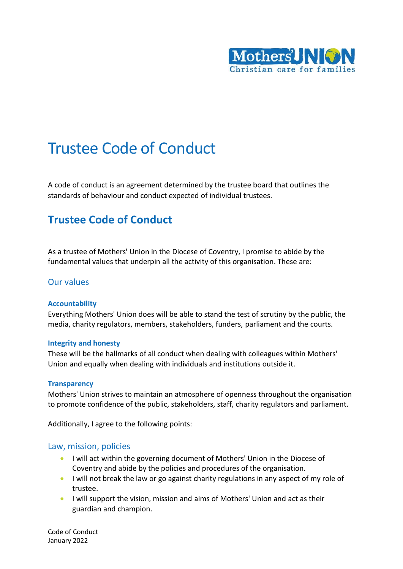

# Trustee Code of Conduct

A code of conduct is an agreement determined by the trustee board that outlines the standards of behaviour and conduct expected of individual trustees.

## **Trustee Code of Conduct**

As a trustee of Mothers' Union in the Diocese of Coventry, I promise to abide by the fundamental values that underpin all the activity of this organisation. These are:

#### Our values

#### **Accountability**

Everything Mothers' Union does will be able to stand the test of scrutiny by the public, the media, charity regulators, members, stakeholders, funders, parliament and the courts.

#### **Integrity and honesty**

These will be the hallmarks of all conduct when dealing with colleagues within Mothers' Union and equally when dealing with individuals and institutions outside it.

#### **Transparency**

Mothers' Union strives to maintain an atmosphere of openness throughout the organisation to promote confidence of the public, stakeholders, staff, charity regulators and parliament.

Additionally, I agree to the following points:

#### Law, mission, policies

- I will act within the governing document of Mothers' Union in the Diocese of Coventry and abide by the policies and procedures of the organisation.
- I will not break the law or go against charity regulations in any aspect of my role of trustee.
- I will support the vision, mission and aims of Mothers' Union and act as their guardian and champion.

Code of Conduct January 2022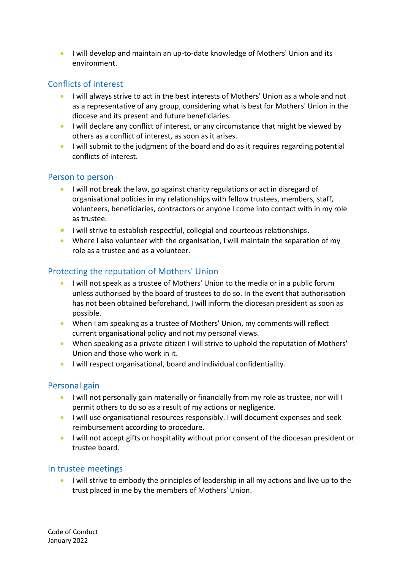• I will develop and maintain an up-to-date knowledge of Mothers' Union and its environment.

## Conflicts of interest

- I will always strive to act in the best interests of Mothers' Union as a whole and not as a representative of any group, considering what is best for Mothers' Union in the diocese and its present and future beneficiaries.
- I will declare any conflict of interest, or any circumstance that might be viewed by others as a conflict of interest, as soon as it arises.
- I will submit to the judgment of the board and do as it requires regarding potential conflicts of interest.

#### Person to person

- I will not break the law, go against charity regulations or act in disregard of organisational policies in my relationships with fellow trustees, members, staff, volunteers, beneficiaries, contractors or anyone I come into contact with in my role as trustee.
- I will strive to establish respectful, collegial and courteous relationships.
- Where I also volunteer with the organisation, I will maintain the separation of my role as a trustee and as a volunteer.

## Protecting the reputation of Mothers' Union

- I will not speak as a trustee of Mothers' Union to the media or in a public forum unless authorised by the board of trustees to do so. In the event that authorisation has not been obtained beforehand, I will inform the diocesan president as soon as possible.
- When I am speaking as a trustee of Mothers' Union, my comments will reflect current organisational policy and not my personal views.
- When speaking as a private citizen I will strive to uphold the reputation of Mothers' Union and those who work in it.
- I will respect organisational, board and individual confidentiality.

## Personal gain

- I will not personally gain materially or financially from my role as trustee, nor will I permit others to do so as a result of my actions or negligence.
- I will use organisational resources responsibly. I will document expenses and seek reimbursement according to procedure.
- I will not accept gifts or hospitality without prior consent of the diocesan president or trustee board.

## In trustee meetings

• I will strive to embody the principles of leadership in all my actions and live up to the trust placed in me by the members of Mothers' Union.